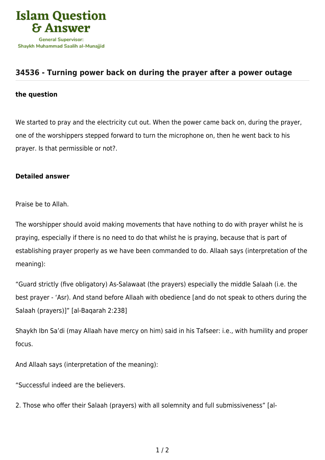

## **[34536 - Turning power back on during the prayer after a power outage](https://islamqa.com/en/answers/34536/turning-power-back-on-during-the-prayer-after-a-power-outage)**

## **the question**

We started to pray and the electricity cut out. When the power came back on, during the prayer, one of the worshippers stepped forward to turn the microphone on, then he went back to his prayer. Is that permissible or not?.

## **Detailed answer**

Praise be to Allah.

The worshipper should avoid making movements that have nothing to do with prayer whilst he is praying, especially if there is no need to do that whilst he is praying, because that is part of establishing prayer properly as we have been commanded to do. Allaah says (interpretation of the meaning):

"Guard strictly (five obligatory) As‑Salawaat (the prayers) especially the middle Salaah (i.e. the best prayer ‑ 'Asr). And stand before Allaah with obedience [and do not speak to others during the Salaah (prayers)]" [al-Baqarah 2:238]

Shaykh Ibn Sa'di (may Allaah have mercy on him) said in his Tafseer: i.e., with humility and proper focus.

And Allaah says (interpretation of the meaning):

"Successful indeed are the believers.

2. Those who offer their Salaah (prayers) with all solemnity and full submissiveness" [al-